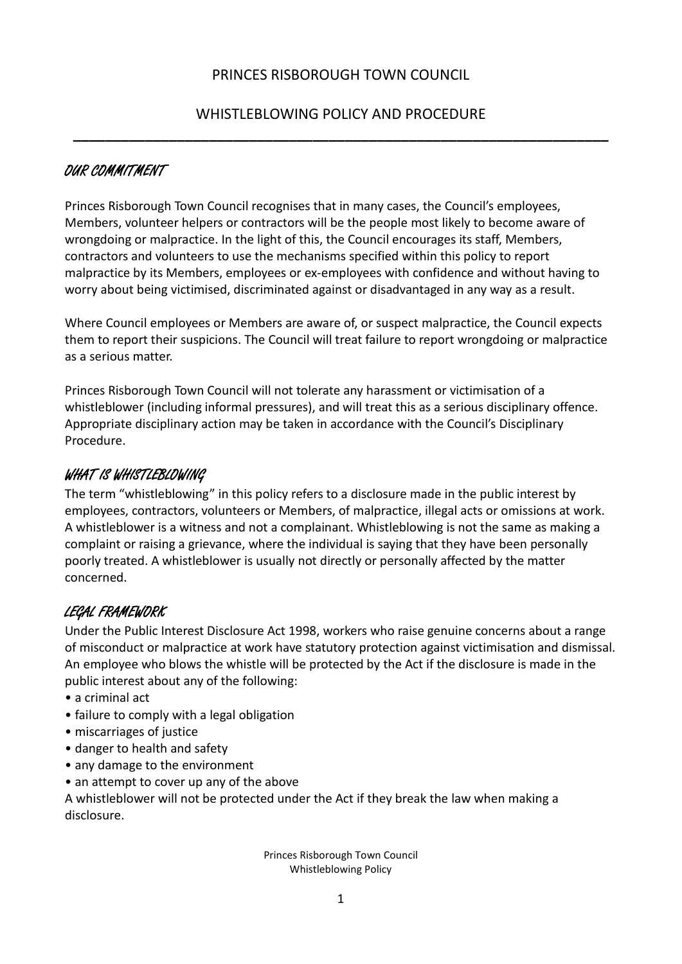# WHISTLEBLOWING POLICY AND PROCEDURE **\_\_\_\_\_\_\_\_\_\_\_\_\_\_\_\_\_\_\_\_\_\_\_\_\_\_\_\_\_\_\_\_\_\_\_\_\_\_\_\_\_\_\_\_\_\_\_\_\_\_\_\_\_\_\_\_\_\_\_\_\_\_\_\_\_\_\_**

# OUR COMMITMENT

Princes Risborough Town Council recognises that in many cases, the Council's employees, Members, volunteer helpers or contractors will be the people most likely to become aware of wrongdoing or malpractice. In the light of this, the Council encourages its staff, Members, contractors and volunteers to use the mechanisms specified within this policy to report malpractice by its Members, employees or ex‐employees with confidence and without having to worry about being victimised, discriminated against or disadvantaged in any way as a result.

Where Council employees or Members are aware of, or suspect malpractice, the Council expects them to report their suspicions. The Council will treat failure to report wrongdoing or malpractice as a serious matter.

Princes Risborough Town Council will not tolerate any harassment or victimisation of a whistleblower (including informal pressures), and will treat this as a serious disciplinary offence. Appropriate disciplinary action may be taken in accordance with the Council's Disciplinary Procedure.

### WHAT IS WHISTLEBLOWING

The term "whistleblowing" in this policy refers to a disclosure made in the public interest by employees, contractors, volunteers or Members, of malpractice, illegal acts or omissions at work. A whistleblower is a witness and not a complainant. Whistleblowing is not the same as making a complaint or raising a grievance, where the individual is saying that they have been personally poorly treated. A whistleblower is usually not directly or personally affected by the matter concerned.

## LEGAL FRAMEWORK

Under the Public Interest Disclosure Act 1998, workers who raise genuine concerns about a range of misconduct or malpractice at work have statutory protection against victimisation and dismissal. An employee who blows the whistle will be protected by the Act if the disclosure is made in the public interest about any of the following:

- a criminal act
- failure to comply with a legal obligation
- miscarriages of justice
- danger to health and safety
- any damage to the environment
- an attempt to cover up any of the above

A whistleblower will not be protected under the Act if they break the law when making a disclosure.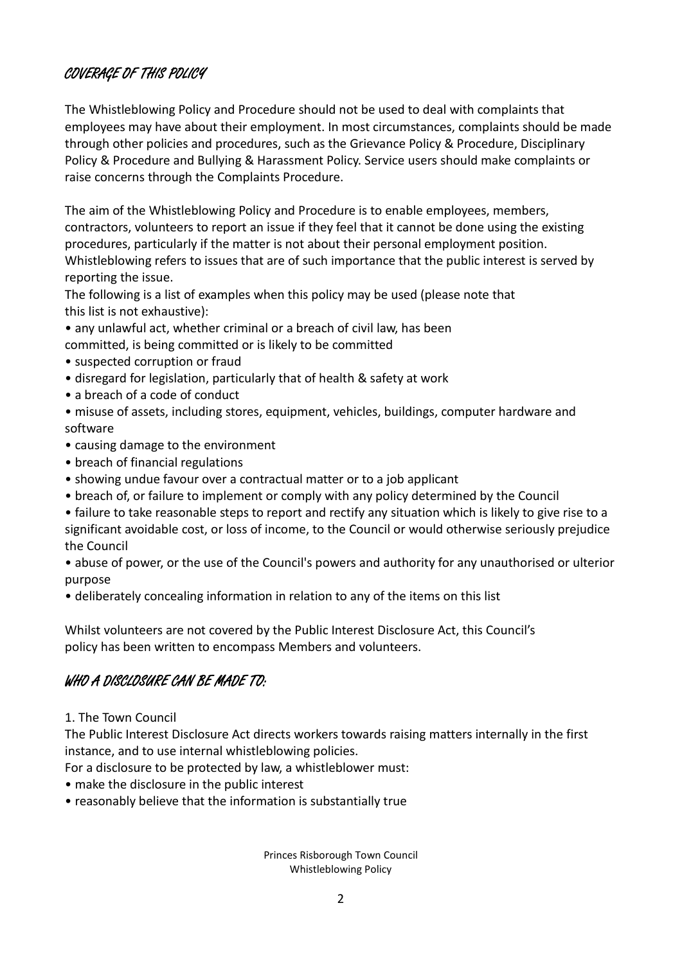### COVERAGE OF THIS POLICY

The Whistleblowing Policy and Procedure should not be used to deal with complaints that employees may have about their employment. In most circumstances, complaints should be made through other policies and procedures, such as the Grievance Policy & Procedure, Disciplinary Policy & Procedure and Bullying & Harassment Policy. Service users should make complaints or raise concerns through the Complaints Procedure.

The aim of the Whistleblowing Policy and Procedure is to enable employees, members, contractors, volunteers to report an issue if they feel that it cannot be done using the existing procedures, particularly if the matter is not about their personal employment position. Whistleblowing refers to issues that are of such importance that the public interest is served by reporting the issue.

The following is a list of examples when this policy may be used (please note that this list is not exhaustive):

- any unlawful act, whether criminal or a breach of civil law, has been committed, is being committed or is likely to be committed
- suspected corruption or fraud
- disregard for legislation, particularly that of health & safety at work
- a breach of a code of conduct
- misuse of assets, including stores, equipment, vehicles, buildings, computer hardware and software
- causing damage to the environment
- breach of financial regulations
- showing undue favour over a contractual matter or to a job applicant
- breach of, or failure to implement or comply with any policy determined by the Council

• failure to take reasonable steps to report and rectify any situation which is likely to give rise to a significant avoidable cost, or loss of income, to the Council or would otherwise seriously prejudice the Council

• abuse of power, or the use of the Council's powers and authority for any unauthorised or ulterior purpose

• deliberately concealing information in relation to any of the items on this list

Whilst volunteers are not covered by the Public Interest Disclosure Act, this Council's policy has been written to encompass Members and volunteers.

## WHO A DISCLOSURE CAN BE MADE TO:

1. The Town Council

The Public Interest Disclosure Act directs workers towards raising matters internally in the first instance, and to use internal whistleblowing policies.

For a disclosure to be protected by law, a whistleblower must:

- make the disclosure in the public interest
- reasonably believe that the information is substantially true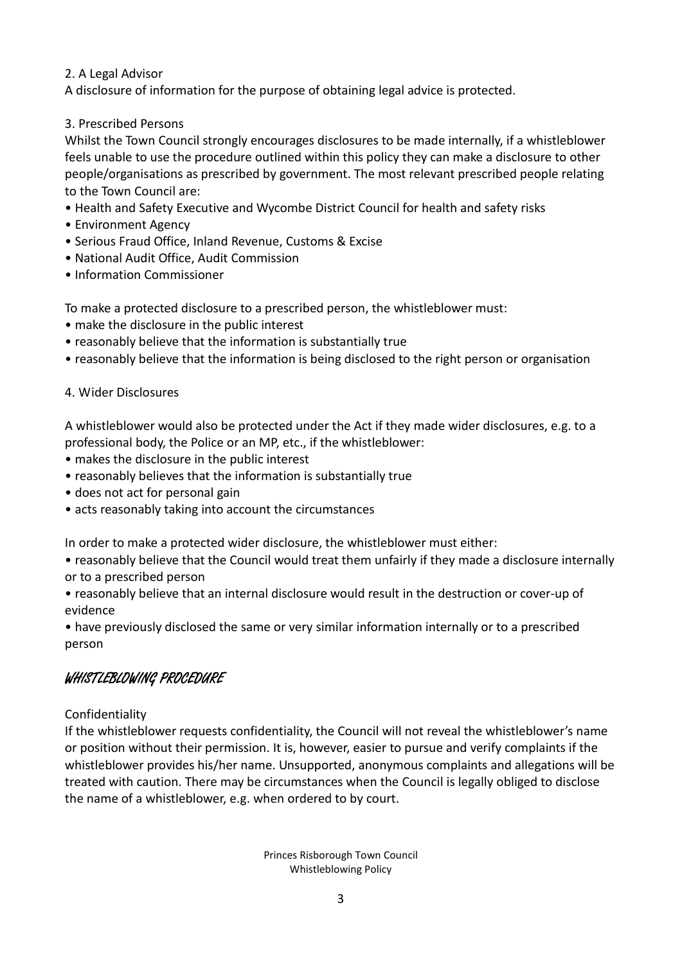#### 2. A Legal Advisor

A disclosure of information for the purpose of obtaining legal advice is protected.

#### 3. Prescribed Persons

Whilst the Town Council strongly encourages disclosures to be made internally, if a whistleblower feels unable to use the procedure outlined within this policy they can make a disclosure to other people/organisations as prescribed by government. The most relevant prescribed people relating to the Town Council are:

- Health and Safety Executive and Wycombe District Council for health and safety risks
- Environment Agency
- Serious Fraud Office, Inland Revenue, Customs & Excise
- National Audit Office, Audit Commission
- Information Commissioner

To make a protected disclosure to a prescribed person, the whistleblower must:

- make the disclosure in the public interest
- reasonably believe that the information is substantially true
- reasonably believe that the information is being disclosed to the right person or organisation

#### 4. Wider Disclosures

A whistleblower would also be protected under the Act if they made wider disclosures, e.g. to a professional body, the Police or an MP, etc., if the whistleblower:

- makes the disclosure in the public interest
- reasonably believes that the information is substantially true
- does not act for personal gain
- acts reasonably taking into account the circumstances

In order to make a protected wider disclosure, the whistleblower must either:

• reasonably believe that the Council would treat them unfairly if they made a disclosure internally or to a prescribed person

• reasonably believe that an internal disclosure would result in the destruction or cover‐up of evidence

• have previously disclosed the same or very similar information internally or to a prescribed person

### WHISTLEBLOWING PROCEDURE

#### Confidentiality

If the whistleblower requests confidentiality, the Council will not reveal the whistleblower's name or position without their permission. It is, however, easier to pursue and verify complaints if the whistleblower provides his/her name. Unsupported, anonymous complaints and allegations will be treated with caution. There may be circumstances when the Council is legally obliged to disclose the name of a whistleblower, e.g. when ordered to by court.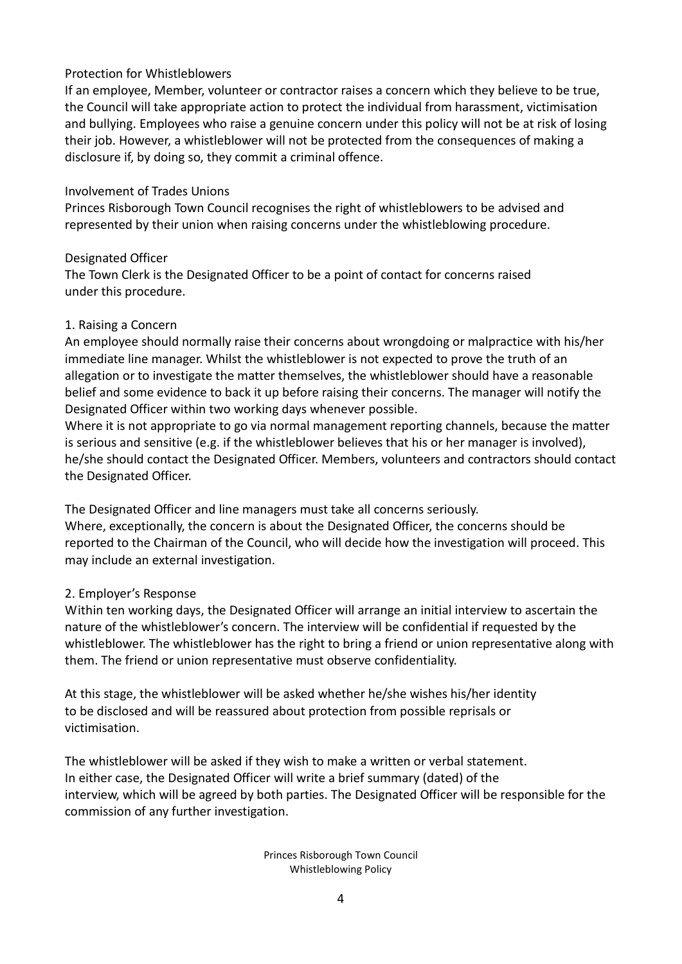#### Protection for Whistleblowers

If an employee, Member, volunteer or contractor raises a concern which they believe to be true, the Council will take appropriate action to protect the individual from harassment, victimisation and bullying. Employees who raise a genuine concern under this policy will not be at risk of losing their job. However, a whistleblower will not be protected from the consequences of making a disclosure if, by doing so, they commit a criminal offence.

#### Involvement of Trades Unions

Princes Risborough Town Council recognises the right of whistleblowers to be advised and represented by their union when raising concerns under the whistleblowing procedure.

#### Designated Officer

The Town Clerk is the Designated Officer to be a point of contact for concerns raised under this procedure.

#### 1. Raising a Concern

An employee should normally raise their concerns about wrongdoing or malpractice with his/her immediate line manager. Whilst the whistleblower is not expected to prove the truth of an allegation or to investigate the matter themselves, the whistleblower should have a reasonable belief and some evidence to back it up before raising their concerns. The manager will notify the Designated Officer within two working days whenever possible.

Where it is not appropriate to go via normal management reporting channels, because the matter is serious and sensitive (e.g. if the whistleblower believes that his or her manager is involved), he/she should contact the Designated Officer. Members, volunteers and contractors should contact the Designated Officer.

The Designated Officer and line managers must take all concerns seriously. Where, exceptionally, the concern is about the Designated Officer, the concerns should be reported to the Chairman of the Council, who will decide how the investigation will proceed. This may include an external investigation.

#### 2. Employer's Response

Within ten working days, the Designated Officer will arrange an initial interview to ascertain the nature of the whistleblower's concern. The interview will be confidential if requested by the whistleblower. The whistleblower has the right to bring a friend or union representative along with them. The friend or union representative must observe confidentiality.

At this stage, the whistleblower will be asked whether he/she wishes his/her identity to be disclosed and will be reassured about protection from possible reprisals or victimisation.

The whistleblower will be asked if they wish to make a written or verbal statement. In either case, the Designated Officer will write a brief summary (dated) of the interview, which will be agreed by both parties. The Designated Officer will be responsible for the commission of any further investigation.